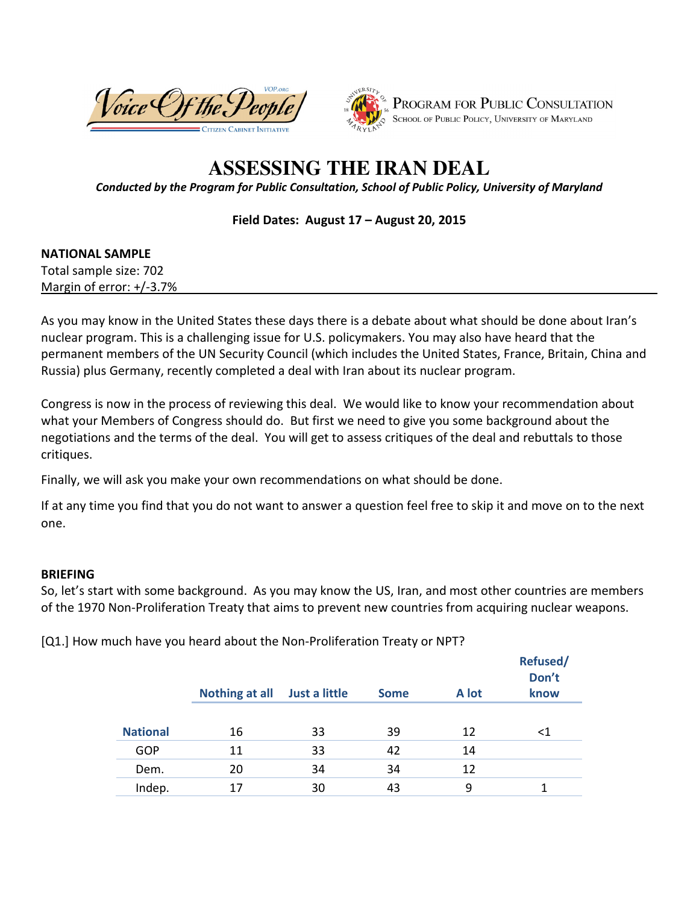



# **ASSESSING THE IRAN DEAL**

*Conducted by the Program for Public Consultation, School of Public Policy, University of Maryland* 

**Field Dates: August 17 – August 20, 2015** 

#### **NATIONAL SAMPLE**

Total sample size: 702 Margin of error: +/-3.7%

As you may know in the United States these days there is a debate about what should be done about Iran's nuclear program. This is a challenging issue for U.S. policymakers. You may also have heard that the permanent members of the UN Security Council (which includes the United States, France, Britain, China and Russia) plus Germany, recently completed a deal with Iran about its nuclear program.

Congress is now in the process of reviewing this deal. We would like to know your recommendation about what your Members of Congress should do. But first we need to give you some background about the negotiations and the terms of the deal. You will get to assess critiques of the deal and rebuttals to those critiques.

Finally, we will ask you make your own recommendations on what should be done.

If at any time you find that you do not want to answer a question feel free to skip it and move on to the next one.

#### **BRIEFING**

So, let's start with some background. As you may know the US, Iran, and most other countries are members of the 1970 Non-Proliferation Treaty that aims to prevent new countries from acquiring nuclear weapons.

[Q1.] How much have you heard about the Non-Proliferation Treaty or NPT?

|                 | Nothing at all | Just a little | <b>Some</b> | A lot | Refused/<br>Don't<br>know |
|-----------------|----------------|---------------|-------------|-------|---------------------------|
| <b>National</b> | 16             | 33            | 39          | 12    | $\leq 1$                  |
| GOP             | 11             | 33            | 42          | 14    |                           |
| Dem.            | 20             | 34            | 34          | 12    |                           |
| Indep.          | 17             | 30            | 43          | 9     |                           |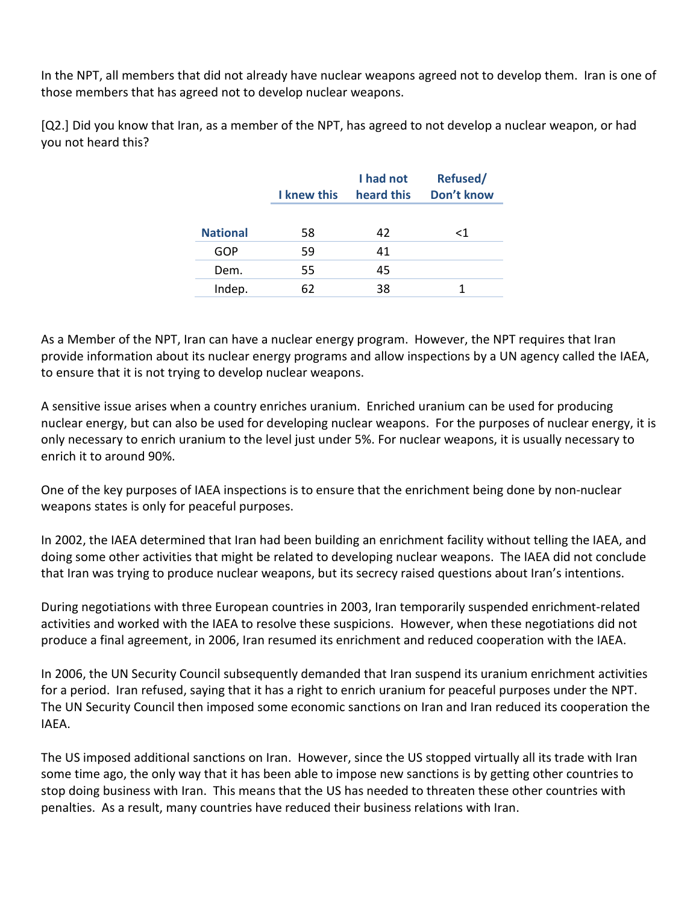In the NPT, all members that did not already have nuclear weapons agreed not to develop them. Iran is one of those members that has agreed not to develop nuclear weapons.

[Q2.] Did you know that Iran, as a member of the NPT, has agreed to not develop a nuclear weapon, or had you not heard this?

|                 | <b>I</b> knew this | I had not<br>heard this | Refused/<br>Don't know |
|-----------------|--------------------|-------------------------|------------------------|
| <b>National</b> | 58                 | 42                      | <1                     |
| GOP             | 59                 | 41                      |                        |
| Dem.            | 55                 | 45                      |                        |
| Indep.          | 62                 | 38                      |                        |

As a Member of the NPT, Iran can have a nuclear energy program. However, the NPT requires that Iran provide information about its nuclear energy programs and allow inspections by a UN agency called the IAEA, to ensure that it is not trying to develop nuclear weapons.

A sensitive issue arises when a country enriches uranium. Enriched uranium can be used for producing nuclear energy, but can also be used for developing nuclear weapons. For the purposes of nuclear energy, it is only necessary to enrich uranium to the level just under 5%. For nuclear weapons, it is usually necessary to enrich it to around 90%.

One of the key purposes of IAEA inspections is to ensure that the enrichment being done by non-nuclear weapons states is only for peaceful purposes.

In 2002, the IAEA determined that Iran had been building an enrichment facility without telling the IAEA, and doing some other activities that might be related to developing nuclear weapons. The IAEA did not conclude that Iran was trying to produce nuclear weapons, but its secrecy raised questions about Iran's intentions.

During negotiations with three European countries in 2003, Iran temporarily suspended enrichment-related activities and worked with the IAEA to resolve these suspicions. However, when these negotiations did not produce a final agreement, in 2006, Iran resumed its enrichment and reduced cooperation with the IAEA.

In 2006, the UN Security Council subsequently demanded that Iran suspend its uranium enrichment activities for a period. Iran refused, saying that it has a right to enrich uranium for peaceful purposes under the NPT. The UN Security Council then imposed some economic sanctions on Iran and Iran reduced its cooperation the IAEA.

The US imposed additional sanctions on Iran. However, since the US stopped virtually all its trade with Iran some time ago, the only way that it has been able to impose new sanctions is by getting other countries to stop doing business with Iran. This means that the US has needed to threaten these other countries with penalties. As a result, many countries have reduced their business relations with Iran.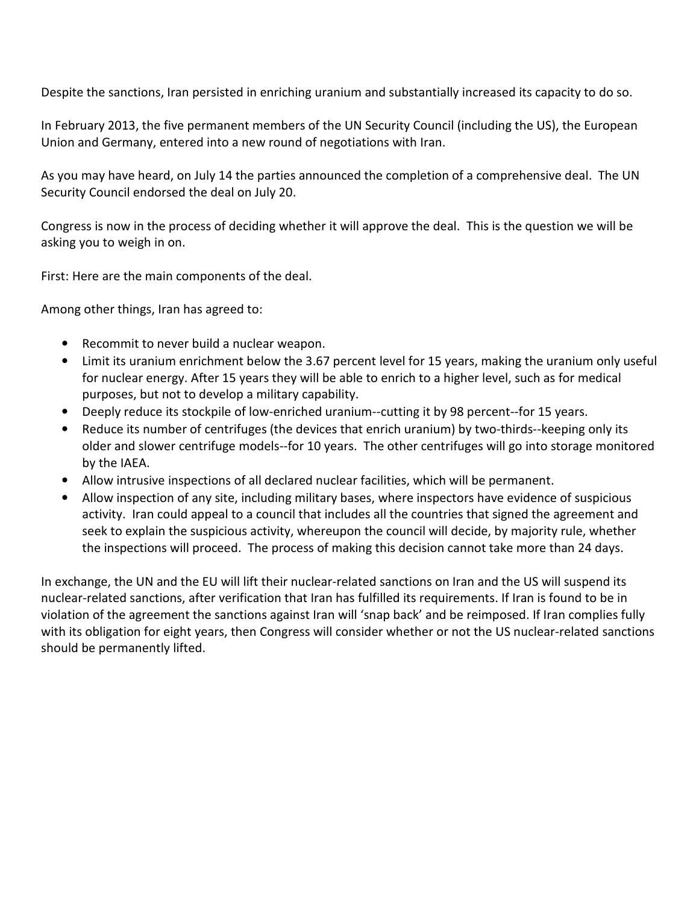Despite the sanctions, Iran persisted in enriching uranium and substantially increased its capacity to do so.

In February 2013, the five permanent members of the UN Security Council (including the US), the European Union and Germany, entered into a new round of negotiations with Iran.

As you may have heard, on July 14 the parties announced the completion of a comprehensive deal. The UN Security Council endorsed the deal on July 20.

Congress is now in the process of deciding whether it will approve the deal. This is the question we will be asking you to weigh in on.

First: Here are the main components of the deal.

Among other things, Iran has agreed to:

- Recommit to never build a nuclear weapon.
- Limit its uranium enrichment below the 3.67 percent level for 15 years, making the uranium only useful for nuclear energy. After 15 years they will be able to enrich to a higher level, such as for medical purposes, but not to develop a military capability.
- Deeply reduce its stockpile of low-enriched uranium--cutting it by 98 percent--for 15 years.
- Reduce its number of centrifuges (the devices that enrich uranium) by two-thirds--keeping only its older and slower centrifuge models--for 10 years. The other centrifuges will go into storage monitored by the IAEA.
- Allow intrusive inspections of all declared nuclear facilities, which will be permanent.
- Allow inspection of any site, including military bases, where inspectors have evidence of suspicious activity. Iran could appeal to a council that includes all the countries that signed the agreement and seek to explain the suspicious activity, whereupon the council will decide, by majority rule, whether the inspections will proceed. The process of making this decision cannot take more than 24 days.

In exchange, the UN and the EU will lift their nuclear-related sanctions on Iran and the US will suspend its nuclear-related sanctions, after verification that Iran has fulfilled its requirements. If Iran is found to be in violation of the agreement the sanctions against Iran will 'snap back' and be reimposed. If Iran complies fully with its obligation for eight years, then Congress will consider whether or not the US nuclear-related sanctions should be permanently lifted.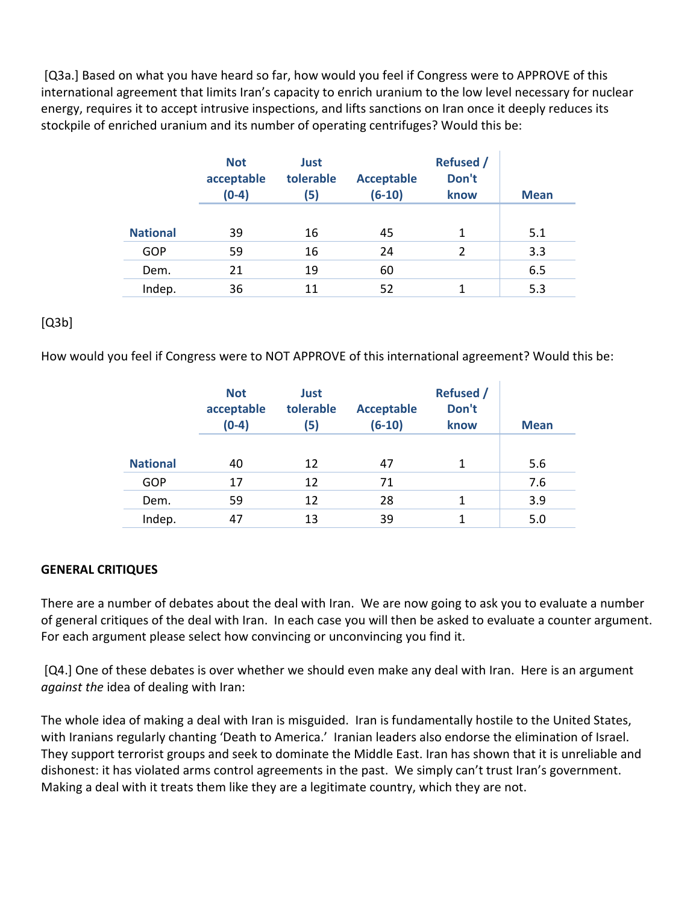[Q3a.] Based on what you have heard so far, how would you feel if Congress were to APPROVE of this international agreement that limits Iran's capacity to enrich uranium to the low level necessary for nuclear energy, requires it to accept intrusive inspections, and lifts sanctions on Iran once it deeply reduces its stockpile of enriched uranium and its number of operating centrifuges? Would this be:

|                 | <b>Not</b><br>acceptable<br>$(0-4)$ | Just<br>tolerable<br>(5) | <b>Acceptable</b><br>$(6-10)$ | <b>Refused /</b><br>Don't<br>know | <b>Mean</b> |
|-----------------|-------------------------------------|--------------------------|-------------------------------|-----------------------------------|-------------|
| <b>National</b> | 39                                  | 16                       | 45                            | 1                                 | 5.1         |
| GOP             | 59                                  | 16                       | 24                            | $\overline{2}$                    | 3.3         |
| Dem.            | 21                                  | 19                       | 60                            |                                   | 6.5         |
| Indep.          | 36                                  | 11                       | 52                            |                                   | 5.3         |

### $[Q3b]$

How would you feel if Congress were to NOT APPROVE of this international agreement? Would this be:

|                 | <b>Not</b><br>acceptable<br>$(0-4)$ | Just<br>tolerable<br><b>Acceptable</b><br>$(6-10)$<br>(5) |    | <b>Refused</b> /<br>Don't<br>know | <b>Mean</b> |
|-----------------|-------------------------------------|-----------------------------------------------------------|----|-----------------------------------|-------------|
| <b>National</b> | 40                                  | 12                                                        | 47 | 1                                 | 5.6         |
| GOP             | 17                                  | 12                                                        | 71 |                                   | 7.6         |
| Dem.            | 59                                  | 12                                                        | 28 |                                   | 3.9         |
| Indep.          | 47                                  | 13                                                        | 39 |                                   | 5.0         |

#### **GENERAL CRITIQUES**

There are a number of debates about the deal with Iran. We are now going to ask you to evaluate a number of general critiques of the deal with Iran. In each case you will then be asked to evaluate a counter argument. For each argument please select how convincing or unconvincing you find it.

 [Q4.] One of these debates is over whether we should even make any deal with Iran. Here is an argument *against the* idea of dealing with Iran:

The whole idea of making a deal with Iran is misguided. Iran is fundamentally hostile to the United States, with Iranians regularly chanting 'Death to America.' Iranian leaders also endorse the elimination of Israel. They support terrorist groups and seek to dominate the Middle East. Iran has shown that it is unreliable and dishonest: it has violated arms control agreements in the past. We simply can't trust Iran's government. Making a deal with it treats them like they are a legitimate country, which they are not.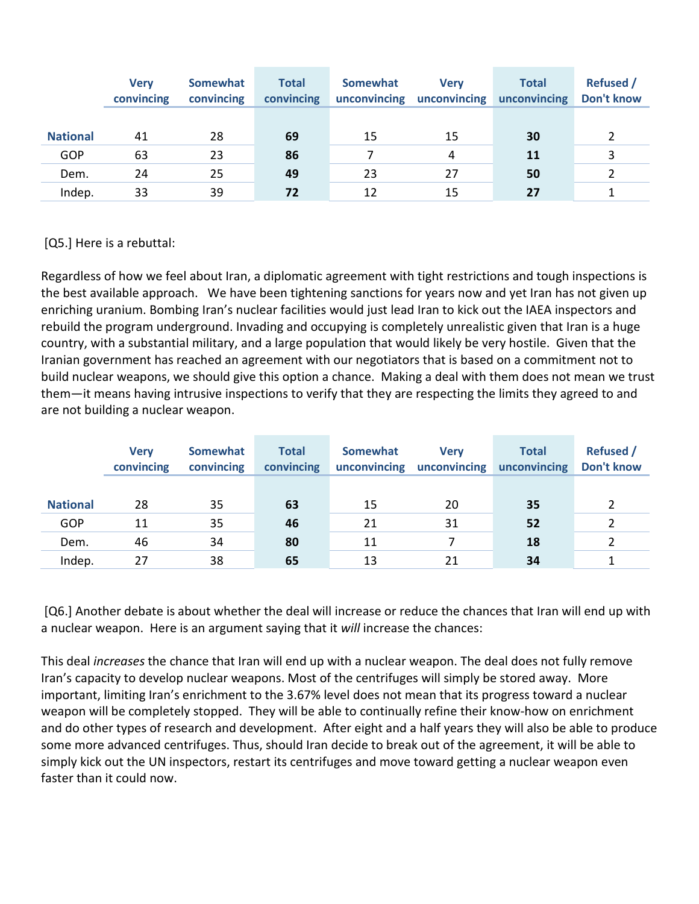|                 | <b>Verv</b><br>convincing | Somewhat<br>convincing | <b>Total</b><br>convincing | Somewhat<br>unconvincing | <b>Verv</b><br>unconvincing | <b>Total</b><br>unconvincing | <b>Refused</b> /<br>Don't know |
|-----------------|---------------------------|------------------------|----------------------------|--------------------------|-----------------------------|------------------------------|--------------------------------|
|                 |                           |                        |                            |                          |                             |                              |                                |
| <b>National</b> | 41                        | 28                     | 69                         | 15                       | 15                          | 30                           |                                |
| GOP             | 63                        | 23                     | 86                         |                          | 4                           | <b>11</b>                    |                                |
| Dem.            | 24                        | 25                     | 49                         | 23                       | 27                          | 50                           |                                |
| Indep.          | 33                        | 39                     | 72                         | 12                       | 15                          | 27                           |                                |

[Q5.] Here is a rebuttal:

Regardless of how we feel about Iran, a diplomatic agreement with tight restrictions and tough inspections is the best available approach. We have been tightening sanctions for years now and yet Iran has not given up enriching uranium. Bombing Iran's nuclear facilities would just lead Iran to kick out the IAEA inspectors and rebuild the program underground. Invading and occupying is completely unrealistic given that Iran is a huge country, with a substantial military, and a large population that would likely be very hostile. Given that the Iranian government has reached an agreement with our negotiators that is based on a commitment not to build nuclear weapons, we should give this option a chance. Making a deal with them does not mean we trust them—it means having intrusive inspections to verify that they are respecting the limits they agreed to and are not building a nuclear weapon.

|                 | <b>Verv</b><br>convincing | <b>Somewhat</b><br>convincing | <b>Total</b><br>convincing | Somewhat<br>unconvincing | <b>Verv</b><br>unconvincing | <b>Total</b><br>unconvincing | <b>Refused</b> /<br>Don't know |
|-----------------|---------------------------|-------------------------------|----------------------------|--------------------------|-----------------------------|------------------------------|--------------------------------|
|                 |                           |                               |                            |                          |                             |                              |                                |
| <b>National</b> | 28                        | 35                            | 63                         | 15                       | 20                          | 35                           |                                |
| <b>GOP</b>      | 11                        | 35                            | 46                         | 21                       | 31                          | 52                           |                                |
| Dem.            | 46                        | 34                            | 80                         | 11                       |                             | 18                           |                                |
| Indep.          | 27                        | 38                            | 65                         | 13                       | 21                          | 34                           |                                |

 [Q6.] Another debate is about whether the deal will increase or reduce the chances that Iran will end up with a nuclear weapon. Here is an argument saying that it *will* increase the chances:

This deal *increases* the chance that Iran will end up with a nuclear weapon. The deal does not fully remove Iran's capacity to develop nuclear weapons. Most of the centrifuges will simply be stored away. More important, limiting Iran's enrichment to the 3.67% level does not mean that its progress toward a nuclear weapon will be completely stopped. They will be able to continually refine their know-how on enrichment and do other types of research and development. After eight and a half years they will also be able to produce some more advanced centrifuges. Thus, should Iran decide to break out of the agreement, it will be able to simply kick out the UN inspectors, restart its centrifuges and move toward getting a nuclear weapon even faster than it could now.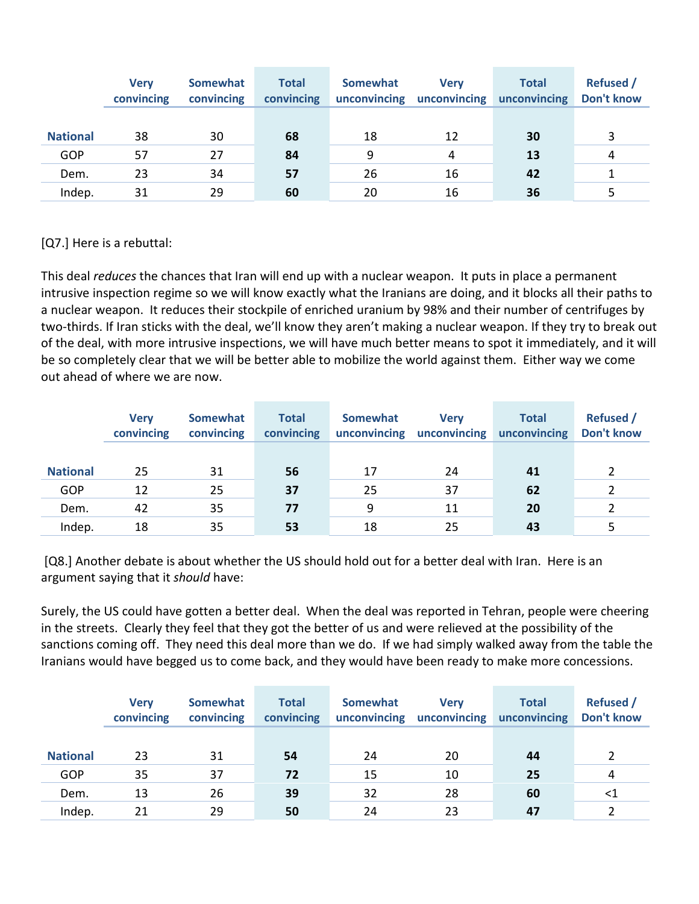|                 | <b>Verv</b><br>convincing | <b>Somewhat</b><br>convincing | <b>Total</b><br>convincing | Somewhat<br>unconvincing | <b>Verv</b><br>unconvincing | <b>Total</b><br>unconvincing | <b>Refused</b> /<br><b>Don't know</b> |
|-----------------|---------------------------|-------------------------------|----------------------------|--------------------------|-----------------------------|------------------------------|---------------------------------------|
|                 |                           |                               |                            |                          |                             |                              |                                       |
| <b>National</b> | 38                        | 30                            | 68                         | 18                       | 12                          | 30                           | 3                                     |
| GOP             | 57                        | 27                            | 84                         | 9                        | 4                           | 13                           | 4                                     |
| Dem.            | 23                        | 34                            | 57                         | 26                       | 16                          | 42                           |                                       |
| Indep.          | 31                        | 29                            | 60                         | 20                       | 16                          | 36                           |                                       |

[Q7.] Here is a rebuttal:

This deal *reduces* the chances that Iran will end up with a nuclear weapon. It puts in place a permanent intrusive inspection regime so we will know exactly what the Iranians are doing, and it blocks all their paths to a nuclear weapon. It reduces their stockpile of enriched uranium by 98% and their number of centrifuges by two-thirds. If Iran sticks with the deal, we'll know they aren't making a nuclear weapon. If they try to break out of the deal, with more intrusive inspections, we will have much better means to spot it immediately, and it will be so completely clear that we will be better able to mobilize the world against them. Either way we come out ahead of where we are now.

|                 | <b>Verv</b><br>convincing | Somewhat<br>convincing | <b>Total</b><br>convincing | Somewhat<br>unconvincing | <b>Verv</b><br>unconvincing | <b>Total</b><br>unconvincing | <b>Refused /</b><br>Don't know |
|-----------------|---------------------------|------------------------|----------------------------|--------------------------|-----------------------------|------------------------------|--------------------------------|
|                 |                           |                        |                            |                          |                             |                              |                                |
| <b>National</b> | 25                        | 31                     | 56                         | 17                       | 24                          | 41                           |                                |
| GOP             | 12                        | 25                     | 37                         | 25                       | 37                          | 62                           |                                |
| Dem.            | 42                        | 35                     | 77                         | 9                        | 11                          | 20                           |                                |
| Indep.          | 18                        | 35                     | 53                         | 18                       | 25                          | 43                           |                                |

 [Q8.] Another debate is about whether the US should hold out for a better deal with Iran. Here is an argument saying that it *should* have:

Surely, the US could have gotten a better deal. When the deal was reported in Tehran, people were cheering in the streets. Clearly they feel that they got the better of us and were relieved at the possibility of the sanctions coming off. They need this deal more than we do. If we had simply walked away from the table the Iranians would have begged us to come back, and they would have been ready to make more concessions.

|                 | <b>Verv</b><br>convincing | Somewhat<br>convincing | <b>Total</b><br>convincing | Somewhat<br>unconvincing | <b>Verv</b><br>unconvincing | <b>Total</b><br>unconvincing | <b>Refused</b> /<br>Don't know |
|-----------------|---------------------------|------------------------|----------------------------|--------------------------|-----------------------------|------------------------------|--------------------------------|
|                 |                           |                        |                            |                          |                             |                              |                                |
| <b>National</b> | 23                        | 31                     | 54                         | 24                       | 20                          | 44                           |                                |
| GOP             | 35                        | 37                     | 72                         | 15                       | 10                          | 25                           | 4                              |
| Dem.            | 13                        | 26                     | 39                         | 32                       | 28                          | 60                           | <1                             |
| Indep.          | 21                        | 29                     | 50                         | 24                       | 23                          | 47                           |                                |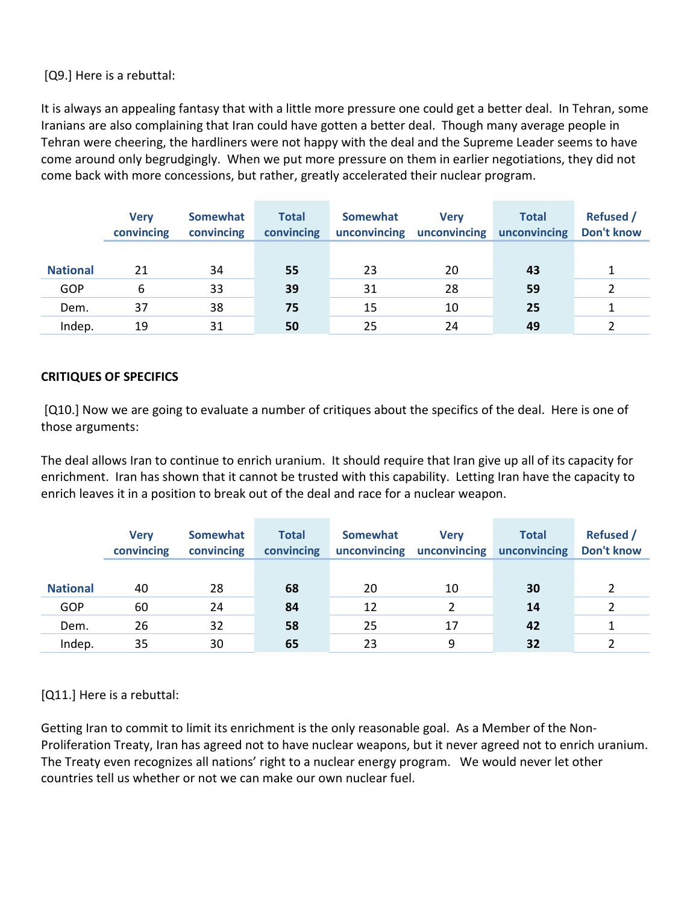[Q9.] Here is a rebuttal:

It is always an appealing fantasy that with a little more pressure one could get a better deal. In Tehran, some Iranians are also complaining that Iran could have gotten a better deal. Though many average people in Tehran were cheering, the hardliners were not happy with the deal and the Supreme Leader seems to have come around only begrudgingly. When we put more pressure on them in earlier negotiations, they did not come back with more concessions, but rather, greatly accelerated their nuclear program.

|                 | <b>Verv</b><br>convincing | Somewhat<br>convincing | <b>Total</b><br>convincing | Somewhat<br>unconvincing | <b>Verv</b><br>unconvincing | <b>Total</b><br>unconvincing | <b>Refused</b> /<br>Don't know |
|-----------------|---------------------------|------------------------|----------------------------|--------------------------|-----------------------------|------------------------------|--------------------------------|
|                 |                           |                        |                            |                          |                             |                              |                                |
| <b>National</b> | 21                        | 34                     | 55                         | 23                       | 20                          | 43                           |                                |
| GOP             | 6                         | 33                     | 39                         | 31                       | 28                          | 59                           |                                |
| Dem.            | 37                        | 38                     | 75                         | 15                       | 10                          | 25                           |                                |
| Indep.          | 19                        | 31                     | 50                         | 25                       | 24                          | 49                           |                                |

## **CRITIQUES OF SPECIFICS**

 [Q10.] Now we are going to evaluate a number of critiques about the specifics of the deal. Here is one of those arguments:

The deal allows Iran to continue to enrich uranium. It should require that Iran give up all of its capacity for enrichment. Iran has shown that it cannot be trusted with this capability. Letting Iran have the capacity to enrich leaves it in a position to break out of the deal and race for a nuclear weapon.

|                 | <b>Verv</b><br>convincing | Somewhat<br>convincing | <b>Total</b><br>convincing | Somewhat<br>unconvincing | <b>Verv</b><br>unconvincing | <b>Total</b><br>unconvincing | <b>Refused</b> /<br><b>Don't know</b> |
|-----------------|---------------------------|------------------------|----------------------------|--------------------------|-----------------------------|------------------------------|---------------------------------------|
|                 |                           |                        |                            |                          |                             |                              |                                       |
| <b>National</b> | 40                        | 28                     | 68                         | 20                       | 10                          | 30                           |                                       |
| GOP             | 60                        | 24                     | 84                         | 12                       |                             | 14                           |                                       |
| Dem.            | 26                        | 32                     | 58                         | 25                       | 17                          | 42                           |                                       |
| Indep.          | 35                        | 30                     | 65                         | 23                       | 9                           | 32                           |                                       |

[Q11.] Here is a rebuttal:

Getting Iran to commit to limit its enrichment is the only reasonable goal. As a Member of the Non-Proliferation Treaty, Iran has agreed not to have nuclear weapons, but it never agreed not to enrich uranium. The Treaty even recognizes all nations' right to a nuclear energy program. We would never let other countries tell us whether or not we can make our own nuclear fuel.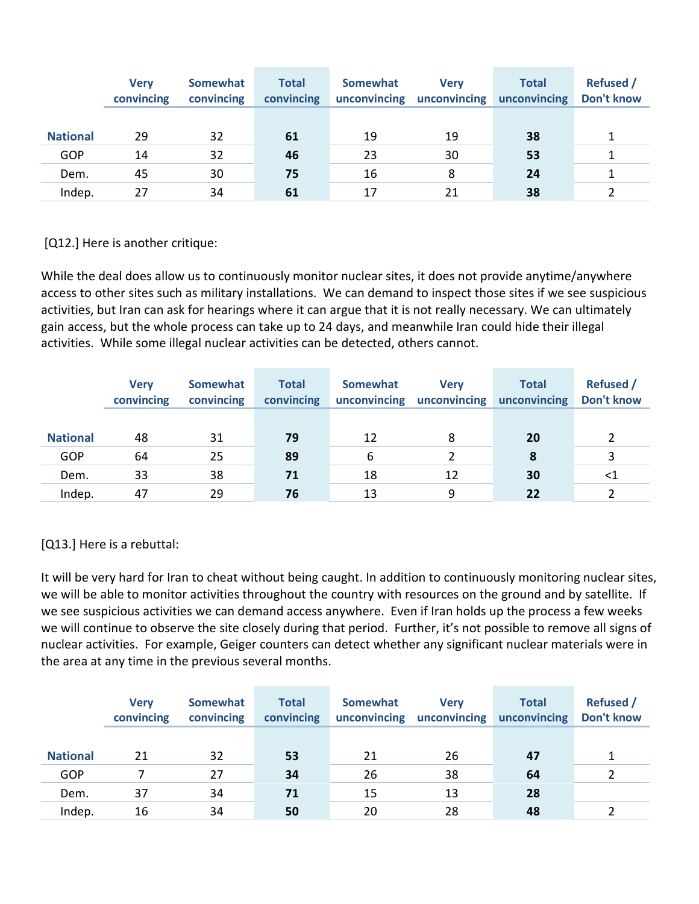|                 | <b>Verv</b><br>convincing | Somewhat<br>convincing | <b>Total</b><br>convincing | <b>Somewhat</b><br>unconvincing | <b>Verv</b><br>unconvincing | <b>Total</b><br>unconvincing | <b>Refused</b> /<br><b>Don't know</b> |
|-----------------|---------------------------|------------------------|----------------------------|---------------------------------|-----------------------------|------------------------------|---------------------------------------|
|                 |                           |                        |                            |                                 |                             |                              |                                       |
| <b>National</b> | 29                        | 32                     | 61                         | 19                              | 19                          | 38                           |                                       |
| GOP             | 14                        | 32                     | 46                         | 23                              | 30                          | 53                           |                                       |
| Dem.            | 45                        | 30                     | 75                         | 16                              | 8                           | 24                           |                                       |
| Indep.          | 27                        | 34                     | 61                         | 17                              | 21                          | 38                           |                                       |

[Q12.] Here is another critique:

While the deal does allow us to continuously monitor nuclear sites, it does not provide anytime/anywhere access to other sites such as military installations. We can demand to inspect those sites if we see suspicious activities, but Iran can ask for hearings where it can argue that it is not really necessary. We can ultimately gain access, but the whole process can take up to 24 days, and meanwhile Iran could hide their illegal activities. While some illegal nuclear activities can be detected, others cannot.

|                 | <b>Verv</b><br>convincing | Somewhat<br>convincing | <b>Total</b><br>convincing | Somewhat<br>unconvincing | <b>Verv</b><br>unconvincing | <b>Total</b><br>unconvincing | <b>Refused</b> /<br><b>Don't know</b> |
|-----------------|---------------------------|------------------------|----------------------------|--------------------------|-----------------------------|------------------------------|---------------------------------------|
|                 |                           |                        |                            |                          |                             |                              |                                       |
| <b>National</b> | 48                        | 31                     | 79                         | 12                       | 8                           | 20                           |                                       |
| <b>GOP</b>      | 64                        | 25                     | 89                         | 6                        |                             | 8                            |                                       |
| Dem.            | 33                        | 38                     | 71                         | 18                       | 12                          | 30                           | <1                                    |
| Indep.          | 47                        | 29                     | 76                         | 13                       | 9                           | 22                           |                                       |

[Q13.] Here is a rebuttal:

It will be very hard for Iran to cheat without being caught. In addition to continuously monitoring nuclear sites, we will be able to monitor activities throughout the country with resources on the ground and by satellite. If we see suspicious activities we can demand access anywhere. Even if Iran holds up the process a few weeks we will continue to observe the site closely during that period. Further, it's not possible to remove all signs of nuclear activities. For example, Geiger counters can detect whether any significant nuclear materials were in the area at any time in the previous several months.

|                 | <b>Verv</b><br>convincing | Somewhat<br>convincing | <b>Total</b><br>convincing | Somewhat<br>unconvincing | <b>Verv</b><br>unconvincing | <b>Total</b><br>unconvincing | <b>Refused /</b><br>Don't know |
|-----------------|---------------------------|------------------------|----------------------------|--------------------------|-----------------------------|------------------------------|--------------------------------|
|                 |                           |                        |                            |                          |                             |                              |                                |
| <b>National</b> | 21                        | 32                     | 53                         | 21                       | 26                          | 47                           |                                |
| GOP             |                           | 27                     | 34                         | 26                       | 38                          | 64                           |                                |
| Dem.            | 37                        | 34                     | 71                         | 15                       | 13                          | 28                           |                                |
| Indep.          | 16                        | 34                     | 50                         | 20                       | 28                          | 48                           |                                |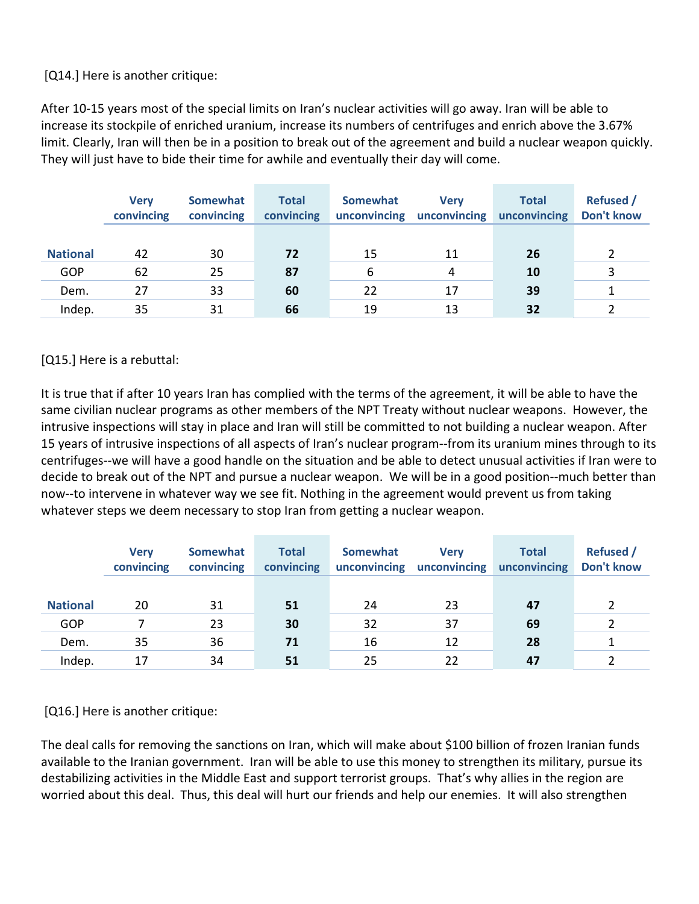[Q14.] Here is another critique:

After 10-15 years most of the special limits on Iran's nuclear activities will go away. Iran will be able to increase its stockpile of enriched uranium, increase its numbers of centrifuges and enrich above the 3.67% limit. Clearly, Iran will then be in a position to break out of the agreement and build a nuclear weapon quickly. They will just have to bide their time for awhile and eventually their day will come.

|                 | <b>Verv</b><br>convincing | <b>Somewhat</b><br>convincing | <b>Total</b><br>convincing | Somewhat<br>unconvincing | <b>Verv</b><br>unconvincing | <b>Total</b><br>unconvincing | <b>Refused /</b><br><b>Don't know</b> |
|-----------------|---------------------------|-------------------------------|----------------------------|--------------------------|-----------------------------|------------------------------|---------------------------------------|
|                 |                           |                               |                            |                          |                             |                              |                                       |
| <b>National</b> | 42                        | 30                            | 72                         | 15                       | 11                          | 26                           |                                       |
| GOP             | 62                        | 25                            | 87                         | 6                        | 4                           | 10                           |                                       |
| Dem.            | 27                        | 33                            | 60                         | 22                       | 17                          | 39                           |                                       |
| Indep.          | 35                        | 31                            | 66                         | 19                       | 13                          | 32                           |                                       |

[Q15.] Here is a rebuttal:

It is true that if after 10 years Iran has complied with the terms of the agreement, it will be able to have the same civilian nuclear programs as other members of the NPT Treaty without nuclear weapons. However, the intrusive inspections will stay in place and Iran will still be committed to not building a nuclear weapon. After 15 years of intrusive inspections of all aspects of Iran's nuclear program--from its uranium mines through to its centrifuges--we will have a good handle on the situation and be able to detect unusual activities if Iran were to decide to break out of the NPT and pursue a nuclear weapon. We will be in a good position--much better than now--to intervene in whatever way we see fit. Nothing in the agreement would prevent us from taking whatever steps we deem necessary to stop Iran from getting a nuclear weapon.

|                 | <b>Verv</b><br>convincing | Somewhat<br>convincing | <b>Total</b><br>convincing | Somewhat<br>unconvincing | <b>Verv</b><br>unconvincing | <b>Total</b><br>unconvincing | <b>Refused</b> /<br>Don't know |
|-----------------|---------------------------|------------------------|----------------------------|--------------------------|-----------------------------|------------------------------|--------------------------------|
|                 |                           |                        |                            |                          |                             |                              |                                |
| <b>National</b> | 20                        | 31                     | 51                         | 24                       | 23                          | 47                           |                                |
| <b>GOP</b>      |                           | 23                     | 30                         | 32                       | 37                          | 69                           |                                |
| Dem.            | 35                        | 36                     | 71                         | 16                       | 12                          | 28                           |                                |
| Indep.          | 17                        | 34                     | 51                         | 25                       | 22                          | 47                           |                                |

[Q16.] Here is another critique:

The deal calls for removing the sanctions on Iran, which will make about \$100 billion of frozen Iranian funds available to the Iranian government. Iran will be able to use this money to strengthen its military, pursue its destabilizing activities in the Middle East and support terrorist groups. That's why allies in the region are worried about this deal. Thus, this deal will hurt our friends and help our enemies. It will also strengthen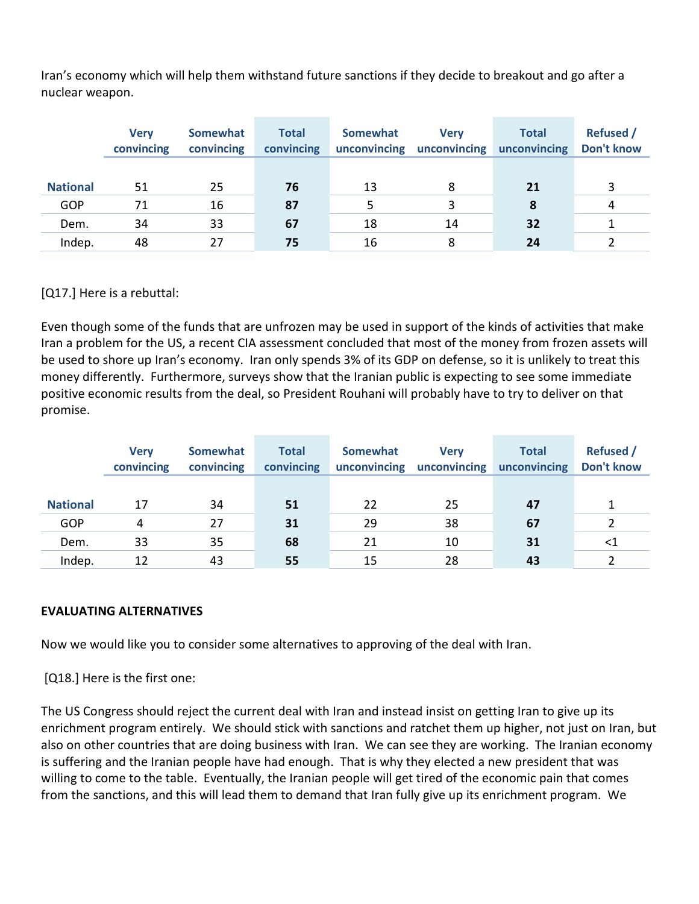Iran's economy which will help them withstand future sanctions if they decide to breakout and go after a nuclear weapon.

|                 | <b>Verv</b><br>convincing | <b>Somewhat</b><br>convincing | <b>Total</b><br>convincing | Somewhat<br>unconvincing | <b>Verv</b><br>unconvincing | <b>Total</b><br>unconvincing | <b>Refused</b> /<br><b>Don't know</b> |
|-----------------|---------------------------|-------------------------------|----------------------------|--------------------------|-----------------------------|------------------------------|---------------------------------------|
|                 |                           |                               |                            |                          |                             |                              |                                       |
| <b>National</b> | 51                        | 25                            | 76                         | 13                       | 8                           | 21                           |                                       |
| GOP             | 71                        | 16                            | 87                         |                          |                             | 8                            | 4                                     |
| Dem.            | 34                        | 33                            | 67                         | 18                       | 14                          | 32                           |                                       |
| Indep.          | 48                        | 27                            | 75                         | 16                       | 8                           | 24                           |                                       |

[Q17.] Here is a rebuttal:

Even though some of the funds that are unfrozen may be used in support of the kinds of activities that make Iran a problem for the US, a recent CIA assessment concluded that most of the money from frozen assets will be used to shore up Iran's economy. Iran only spends 3% of its GDP on defense, so it is unlikely to treat this money differently. Furthermore, surveys show that the Iranian public is expecting to see some immediate positive economic results from the deal, so President Rouhani will probably have to try to deliver on that promise.

|                 | <b>Verv</b><br>convincing | <b>Somewhat</b><br>convincing | <b>Total</b><br>convincing | <b>Somewhat</b><br>unconvincing | <b>Verv</b><br>unconvincing | <b>Total</b><br>unconvincing | <b>Refused</b> /<br><b>Don't know</b> |
|-----------------|---------------------------|-------------------------------|----------------------------|---------------------------------|-----------------------------|------------------------------|---------------------------------------|
|                 |                           |                               |                            |                                 |                             |                              |                                       |
| <b>National</b> | 17                        | 34                            | 51                         | 22                              | 25                          | 47                           |                                       |
| <b>GOP</b>      | 4                         | 27                            | 31                         | 29                              | 38                          | 67                           |                                       |
| Dem.            | 33                        | 35                            | 68                         | 21                              | 10                          | 31                           | ${<}1$                                |
| Indep.          | 12                        | 43                            | 55                         | 15                              | 28                          | 43                           |                                       |

#### **EVALUATING ALTERNATIVES**

Now we would like you to consider some alternatives to approving of the deal with Iran.

[Q18.] Here is the first one:

The US Congress should reject the current deal with Iran and instead insist on getting Iran to give up its enrichment program entirely. We should stick with sanctions and ratchet them up higher, not just on Iran, but also on other countries that are doing business with Iran. We can see they are working. The Iranian economy is suffering and the Iranian people have had enough. That is why they elected a new president that was willing to come to the table. Eventually, the Iranian people will get tired of the economic pain that comes from the sanctions, and this will lead them to demand that Iran fully give up its enrichment program. We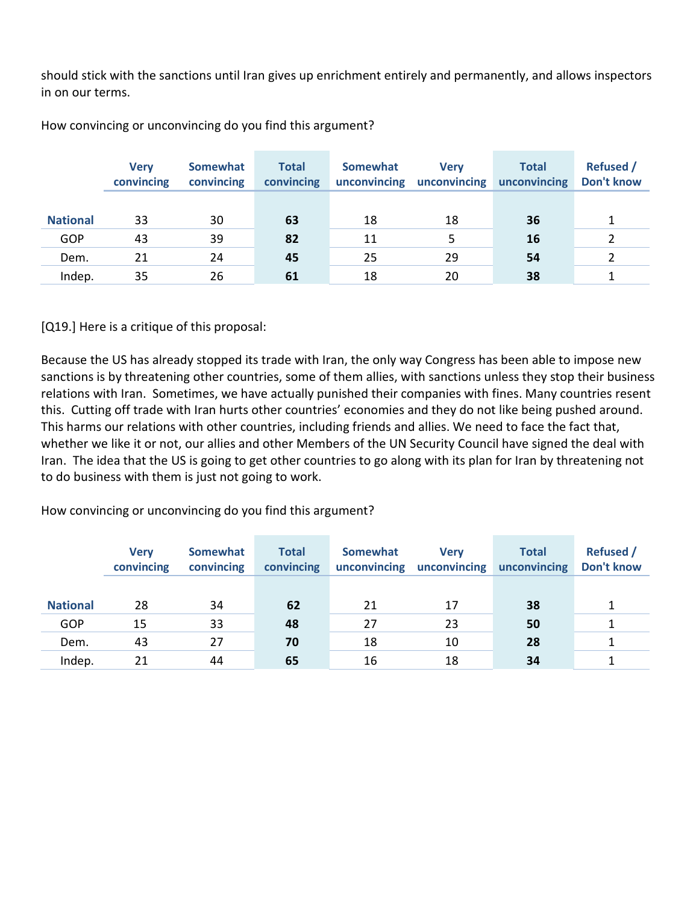should stick with the sanctions until Iran gives up enrichment entirely and permanently, and allows inspectors in on our terms.

|                 | <b>Verv</b><br>convincing | Somewhat<br>convincing | <b>Total</b><br>convincing | <b>Somewhat</b><br>unconvincing | <b>Verv</b><br>unconvincing | <b>Total</b><br>unconvincing | <b>Refused</b> /<br>Don't know |
|-----------------|---------------------------|------------------------|----------------------------|---------------------------------|-----------------------------|------------------------------|--------------------------------|
|                 |                           |                        |                            |                                 |                             |                              |                                |
| <b>National</b> | 33                        | 30                     | 63                         | 18                              | 18                          | 36                           |                                |
| GOP             | 43                        | 39                     | 82                         | 11                              |                             | 16                           |                                |
| Dem.            | 21                        | 24                     | 45                         | 25                              | 29                          | 54                           |                                |
| Indep.          | 35                        | 26                     | 61                         | 18                              | 20                          | 38                           |                                |

How convincing or unconvincing do you find this argument?

[Q19.] Here is a critique of this proposal:

Because the US has already stopped its trade with Iran, the only way Congress has been able to impose new sanctions is by threatening other countries, some of them allies, with sanctions unless they stop their business relations with Iran. Sometimes, we have actually punished their companies with fines. Many countries resent this. Cutting off trade with Iran hurts other countries' economies and they do not like being pushed around. This harms our relations with other countries, including friends and allies. We need to face the fact that, whether we like it or not, our allies and other Members of the UN Security Council have signed the deal with Iran. The idea that the US is going to get other countries to go along with its plan for Iran by threatening not to do business with them is just not going to work.

How convincing or unconvincing do you find this argument?

|                 | <b>Verv</b><br>convincing | <b>Somewhat</b><br>convincing | <b>Total</b><br>convincing | <b>Somewhat</b><br>unconvincing | <b>Verv</b><br>unconvincing | <b>Total</b><br>unconvincing | <b>Refused</b> /<br>Don't know |
|-----------------|---------------------------|-------------------------------|----------------------------|---------------------------------|-----------------------------|------------------------------|--------------------------------|
|                 |                           |                               |                            |                                 |                             |                              |                                |
| <b>National</b> | 28                        | 34                            | 62                         | 21                              | 17                          | 38                           |                                |
| GOP             | 15                        | 33                            | 48                         | 27                              | 23                          | 50                           |                                |
| Dem.            | 43                        | 27                            | 70                         | 18                              | 10                          | 28                           |                                |
| Indep.          | 21                        | 44                            | 65                         | 16                              | 18                          | 34                           |                                |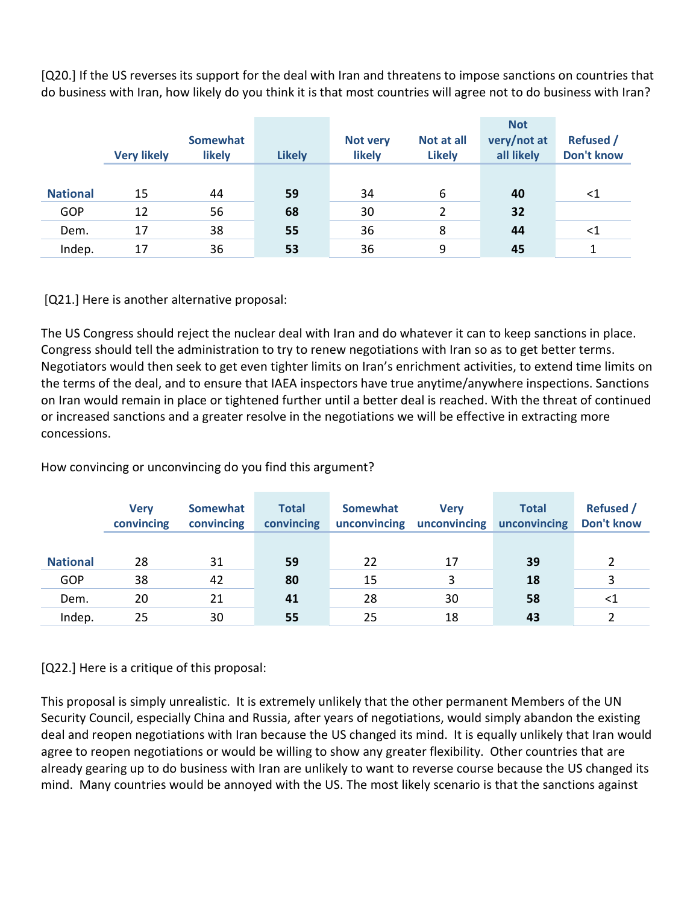[Q20.] If the US reverses its support for the deal with Iran and threatens to impose sanctions on countries that do business with Iran, how likely do you think it is that most countries will agree not to do business with Iran?

|                 | <b>Very likely</b> | <b>Somewhat</b><br><b>likely</b> | <b>Likely</b> | Not very<br>likely | Not at all<br><b>Likely</b> | <b>Not</b><br>very/not at<br>all likely | <b>Refused /</b><br><b>Don't know</b> |
|-----------------|--------------------|----------------------------------|---------------|--------------------|-----------------------------|-----------------------------------------|---------------------------------------|
|                 |                    |                                  |               |                    |                             |                                         |                                       |
| <b>National</b> | 15                 | 44                               | 59            | 34                 | 6                           | 40                                      | $<$ 1                                 |
| GOP             | 12                 | 56                               | 68            | 30                 | 2                           | 32                                      |                                       |
| Dem.            | 17                 | 38                               | 55            | 36                 | 8                           | 44                                      | $<$ 1                                 |
| Indep.          | 17                 | 36                               | 53            | 36                 | 9                           | 45                                      |                                       |

[Q21.] Here is another alternative proposal:

The US Congress should reject the nuclear deal with Iran and do whatever it can to keep sanctions in place. Congress should tell the administration to try to renew negotiations with Iran so as to get better terms. Negotiators would then seek to get even tighter limits on Iran's enrichment activities, to extend time limits on the terms of the deal, and to ensure that IAEA inspectors have true anytime/anywhere inspections. Sanctions on Iran would remain in place or tightened further until a better deal is reached. With the threat of continued or increased sanctions and a greater resolve in the negotiations we will be effective in extracting more concessions.

How convincing or unconvincing do you find this argument?

|                 | <b>Verv</b><br>convincing | <b>Somewhat</b><br>convincing | <b>Total</b><br>convincing | <b>Somewhat</b><br>unconvincing | <b>Verv</b><br>unconvincing | <b>Total</b><br>unconvincing | <b>Refused</b> /<br>Don't know |
|-----------------|---------------------------|-------------------------------|----------------------------|---------------------------------|-----------------------------|------------------------------|--------------------------------|
|                 |                           |                               |                            |                                 |                             |                              |                                |
| <b>National</b> | 28                        | 31                            | 59                         | 22                              | 17                          | 39                           |                                |
| GOP             | 38                        | 42                            | 80                         | 15                              | 3                           | 18                           |                                |
| Dem.            | 20                        | 21                            | 41                         | 28                              | 30                          | 58                           | <1                             |
| Indep.          | 25                        | 30                            | 55                         | 25                              | 18                          | 43                           |                                |

[Q22.] Here is a critique of this proposal:

This proposal is simply unrealistic. It is extremely unlikely that the other permanent Members of the UN Security Council, especially China and Russia, after years of negotiations, would simply abandon the existing deal and reopen negotiations with Iran because the US changed its mind. It is equally unlikely that Iran would agree to reopen negotiations or would be willing to show any greater flexibility. Other countries that are already gearing up to do business with Iran are unlikely to want to reverse course because the US changed its mind. Many countries would be annoyed with the US. The most likely scenario is that the sanctions against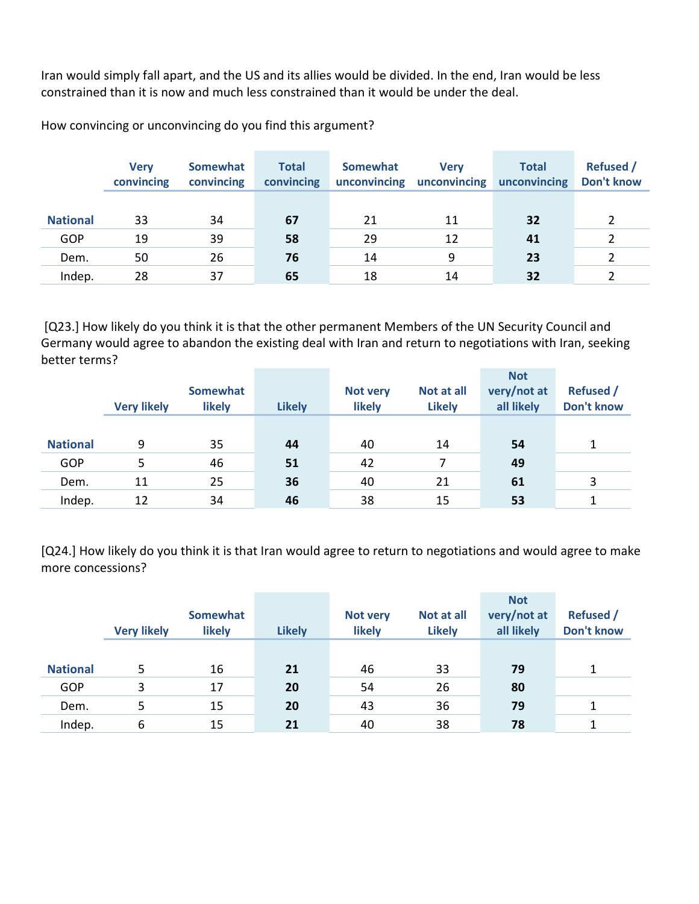Iran would simply fall apart, and the US and its allies would be divided. In the end, Iran would be less constrained than it is now and much less constrained than it would be under the deal.

**Very convincing Somewhat convincing Total convincing Somewhat unconvincing unconvincing Very Total unconvincing Refused / Don't know National** 33 34 **67** 21 11 **32** 2 GOP 19 39 **58** 29 12 **41** 2 Dem. 50 26 **76** 14 9 **23** 2 Indep. 28 37 **65** 18 14 **32** 2

How convincing or unconvincing do you find this argument?

 [Q23.] How likely do you think it is that the other permanent Members of the UN Security Council and Germany would agree to abandon the existing deal with Iran and return to negotiations with Iran, seeking better terms?

|                 | <b>Very likely</b> | <b>Somewhat</b><br><b>likely</b> | <b>Likely</b> | <b>Not very</b><br>likely | Not at all<br><b>Likely</b> | <b>Not</b><br>very/not at<br>all likely | <b>Refused</b> /<br>Don't know |
|-----------------|--------------------|----------------------------------|---------------|---------------------------|-----------------------------|-----------------------------------------|--------------------------------|
| <b>National</b> | 9                  | 35                               | 44            | 40                        | 14                          | 54                                      |                                |
| GOP             | 5                  | 46                               | 51            | 42                        | 7                           | 49                                      |                                |
| Dem.            | 11                 | 25                               | 36            | 40                        | 21                          | 61                                      | 3                              |
| Indep.          | 12                 | 34                               | 46            | 38                        | 15                          | 53                                      |                                |

[Q24.] How likely do you think it is that Iran would agree to return to negotiations and would agree to make more concessions?

|                 | <b>Very likely</b> | <b>Somewhat</b><br><b>likely</b> | <b>Likely</b> | <b>Not very</b><br>likely | Not at all<br><b>Likely</b> | <b>Not</b><br>very/not at<br>all likely | <b>Refused</b> /<br><b>Don't know</b> |
|-----------------|--------------------|----------------------------------|---------------|---------------------------|-----------------------------|-----------------------------------------|---------------------------------------|
| <b>National</b> | 5                  | 16                               | 21            | 46                        | 33                          | 79                                      |                                       |
| GOP             | 3                  | 17                               | 20            | 54                        | 26                          | 80                                      |                                       |
| Dem.            | 5                  | 15                               | 20            | 43                        | 36                          | 79                                      |                                       |
| Indep.          | 6                  | 15                               | 21            | 40                        | 38                          | 78                                      |                                       |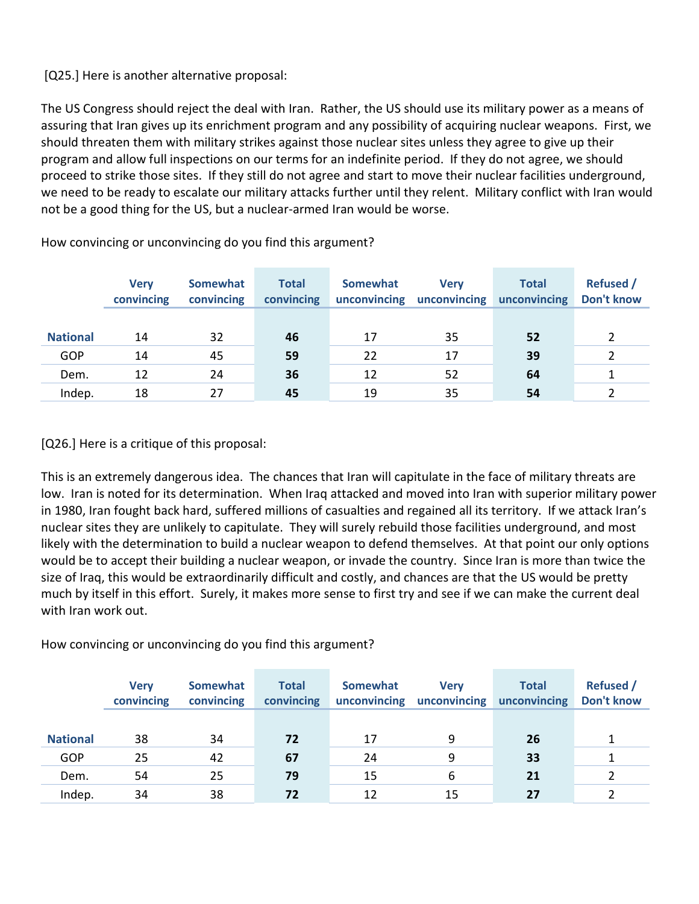## [Q25.] Here is another alternative proposal:

The US Congress should reject the deal with Iran. Rather, the US should use its military power as a means of assuring that Iran gives up its enrichment program and any possibility of acquiring nuclear weapons. First, we should threaten them with military strikes against those nuclear sites unless they agree to give up their program and allow full inspections on our terms for an indefinite period. If they do not agree, we should proceed to strike those sites. If they still do not agree and start to move their nuclear facilities underground, we need to be ready to escalate our military attacks further until they relent. Military conflict with Iran would not be a good thing for the US, but a nuclear-armed Iran would be worse.

|                 | <b>Verv</b><br>convincing | Somewhat<br>convincing | <b>Total</b><br>convincing | <b>Somewhat</b><br>unconvincing | <b>Verv</b><br>unconvincing | <b>Total</b><br>unconvincing | <b>Refused</b><br>Don't know |
|-----------------|---------------------------|------------------------|----------------------------|---------------------------------|-----------------------------|------------------------------|------------------------------|
|                 |                           |                        |                            |                                 |                             |                              |                              |
| <b>National</b> | 14                        | 32                     | 46                         | 17                              | 35                          | 52                           |                              |
| GOP             | 14                        | 45                     | 59                         | 22                              | 17                          | 39                           |                              |
| Dem.            | 12                        | 24                     | 36                         | 12                              | 52                          | 64                           |                              |
| Indep.          | 18                        | 27                     | 45                         | 19                              | 35                          | 54                           |                              |

How convincing or unconvincing do you find this argument?

[Q26.] Here is a critique of this proposal:

This is an extremely dangerous idea. The chances that Iran will capitulate in the face of military threats are low. Iran is noted for its determination. When Iraq attacked and moved into Iran with superior military power in 1980, Iran fought back hard, suffered millions of casualties and regained all its territory. If we attack Iran's nuclear sites they are unlikely to capitulate. They will surely rebuild those facilities underground, and most likely with the determination to build a nuclear weapon to defend themselves. At that point our only options would be to accept their building a nuclear weapon, or invade the country. Since Iran is more than twice the size of Iraq, this would be extraordinarily difficult and costly, and chances are that the US would be pretty much by itself in this effort. Surely, it makes more sense to first try and see if we can make the current deal with Iran work out.

How convincing or unconvincing do you find this argument?

|                 | <b>Verv</b><br>convincing | <b>Somewhat</b><br>convincing | <b>Total</b><br>convincing | Somewhat<br>unconvincing | <b>Verv</b><br>unconvincing | <b>Total</b><br>unconvincing | <b>Refused</b> /<br>Don't know |
|-----------------|---------------------------|-------------------------------|----------------------------|--------------------------|-----------------------------|------------------------------|--------------------------------|
|                 |                           |                               |                            |                          |                             |                              |                                |
| <b>National</b> | 38                        | 34                            | 72                         | 17                       | 9                           | 26                           |                                |
| GOP             | 25                        | 42                            | 67                         | 24                       | 9                           | 33                           |                                |
| Dem.            | 54                        | 25                            | 79                         | 15                       | 6                           | 21                           |                                |
| Indep.          | 34                        | 38                            | 72                         | 12                       | 15                          | 27                           |                                |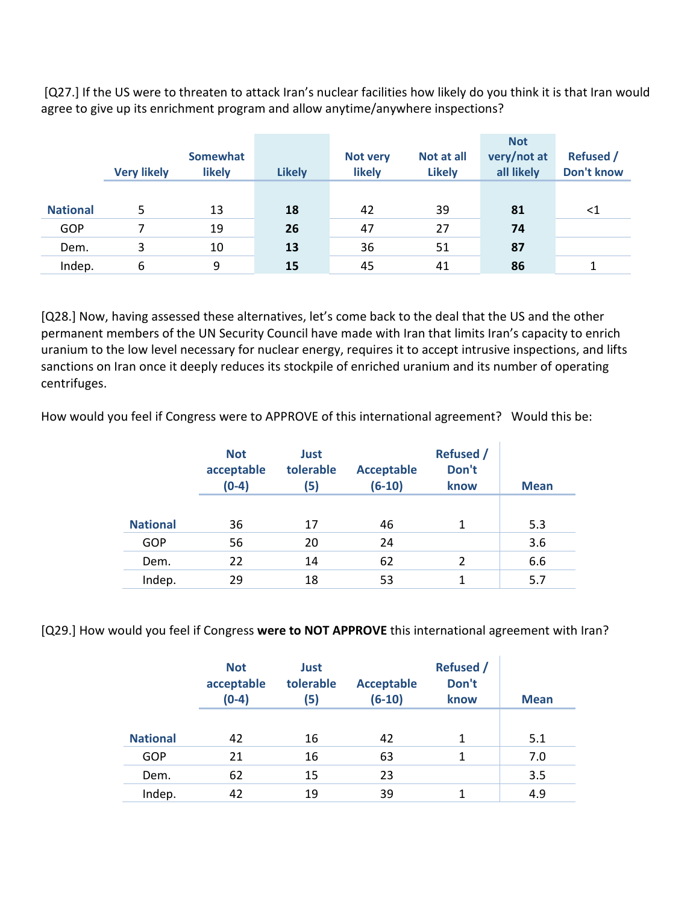[Q27.] If the US were to threaten to attack Iran's nuclear facilities how likely do you think it is that Iran would agree to give up its enrichment program and allow anytime/anywhere inspections?

|                 | <b>Very likely</b> | <b>Somewhat</b><br>likely | <b>Likely</b> | <b>Not very</b><br>likely | Not at all<br><b>Likely</b> | <b>Not</b><br>very/not at<br>all likely | <b>Refused /</b><br><b>Don't know</b> |
|-----------------|--------------------|---------------------------|---------------|---------------------------|-----------------------------|-----------------------------------------|---------------------------------------|
| <b>National</b> | 5                  | 13                        | 18            | 42                        | 39                          | 81                                      | <1                                    |
| <b>GOP</b>      |                    | 19                        | 26            | 47                        | 27                          | 74                                      |                                       |
| Dem.            | 3                  | 10                        | 13            | 36                        | 51                          | 87                                      |                                       |
| Indep.          | 6                  | 9                         | 15            | 45                        | 41                          | 86                                      |                                       |

[Q28.] Now, having assessed these alternatives, let's come back to the deal that the US and the other permanent members of the UN Security Council have made with Iran that limits Iran's capacity to enrich uranium to the low level necessary for nuclear energy, requires it to accept intrusive inspections, and lifts sanctions on Iran once it deeply reduces its stockpile of enriched uranium and its number of operating centrifuges.

How would you feel if Congress were to APPROVE of this international agreement? Would this be:

|                 | <b>Not</b><br>acceptable<br>$(0-4)$ | Just<br>tolerable<br>(5) | <b>Acceptable</b><br>$(6-10)$ | <b>Refused</b> /<br>Don't<br>know | <b>Mean</b> |
|-----------------|-------------------------------------|--------------------------|-------------------------------|-----------------------------------|-------------|
| <b>National</b> | 36                                  | 17                       | 46                            | 1                                 | 5.3         |
| GOP             | 56                                  | 20                       | 24                            |                                   | 3.6         |
| Dem.            | 22                                  | 14                       | 62                            | 2                                 | 6.6         |
| Indep.          | 29                                  | 18                       | 53                            | 1                                 | 5.7         |

[Q29.] How would you feel if Congress **were to NOT APPROVE** this international agreement with Iran?

|                 | <b>Not</b><br>acceptable<br>$(0-4)$ | Just<br>tolerable<br>(5) | <b>Acceptable</b><br>$(6-10)$ | <b>Refused</b> /<br>Don't<br>know | <b>Mean</b> |
|-----------------|-------------------------------------|--------------------------|-------------------------------|-----------------------------------|-------------|
| <b>National</b> | 42                                  | 16                       | 42                            | 1                                 | 5.1         |
| GOP             | 21                                  | 16                       | 63                            | 1                                 | 7.0         |
| Dem.            | 62                                  | 15                       | 23                            |                                   | 3.5         |
| Indep.          | 42                                  | 19                       | 39                            |                                   | 4.9         |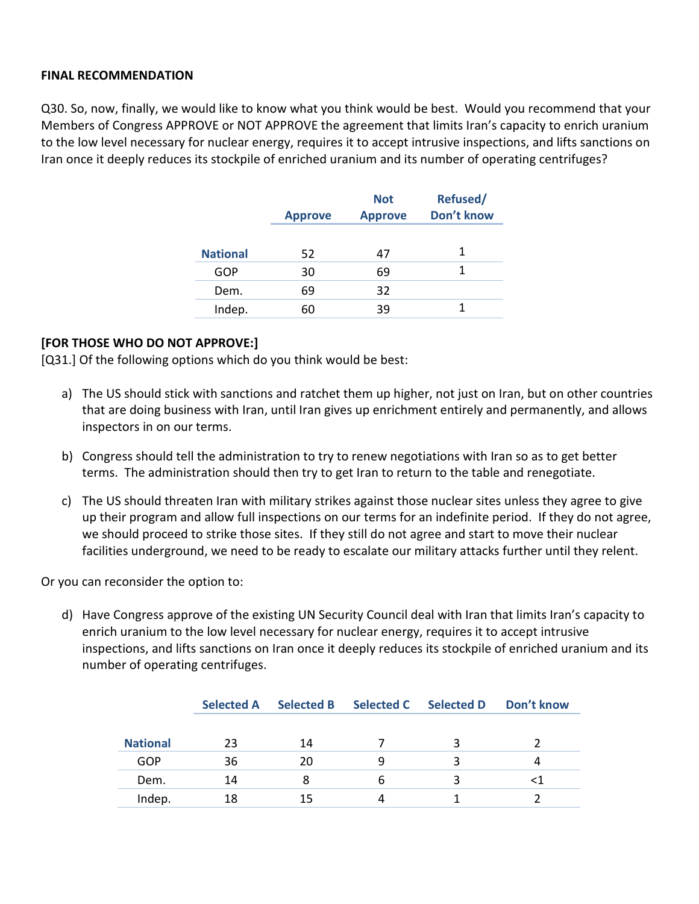#### **FINAL RECOMMENDATION**

Q30. So, now, finally, we would like to know what you think would be best. Would you recommend that your Members of Congress APPROVE or NOT APPROVE the agreement that limits Iran's capacity to enrich uranium to the low level necessary for nuclear energy, requires it to accept intrusive inspections, and lifts sanctions on Iran once it deeply reduces its stockpile of enriched uranium and its number of operating centrifuges?

|                 | <b>Approve</b> | <b>Not</b><br><b>Approve</b> | Refused/<br>Don't know |
|-----------------|----------------|------------------------------|------------------------|
| <b>National</b> | 52             | 47                           | 1                      |
| GOP             | 30             | 69                           | 1                      |
| Dem.            | 69             | 32                           |                        |
| Indep.          | 60             | 39                           |                        |

#### **[FOR THOSE WHO DO NOT APPROVE:]**

[Q31.] Of the following options which do you think would be best:

- a) The US should stick with sanctions and ratchet them up higher, not just on Iran, but on other countries that are doing business with Iran, until Iran gives up enrichment entirely and permanently, and allows inspectors in on our terms.
- b) Congress should tell the administration to try to renew negotiations with Iran so as to get better terms. The administration should then try to get Iran to return to the table and renegotiate.
- c) The US should threaten Iran with military strikes against those nuclear sites unless they agree to give up their program and allow full inspections on our terms for an indefinite period. If they do not agree, we should proceed to strike those sites. If they still do not agree and start to move their nuclear facilities underground, we need to be ready to escalate our military attacks further until they relent.

Or you can reconsider the option to:

d) Have Congress approve of the existing UN Security Council deal with Iran that limits Iran's capacity to enrich uranium to the low level necessary for nuclear energy, requires it to accept intrusive inspections, and lifts sanctions on Iran once it deeply reduces its stockpile of enriched uranium and its number of operating centrifuges.

|                 |    | Selected A Selected B | Selected C Selected D | <b>Don't know</b> |
|-----------------|----|-----------------------|-----------------------|-------------------|
|                 |    |                       |                       |                   |
| <b>National</b> | 23 | 14                    |                       |                   |
| GOP             | 36 | 20                    | q                     |                   |
| Dem.            | 14 |                       | b                     |                   |
| Indep.          | 18 |                       |                       |                   |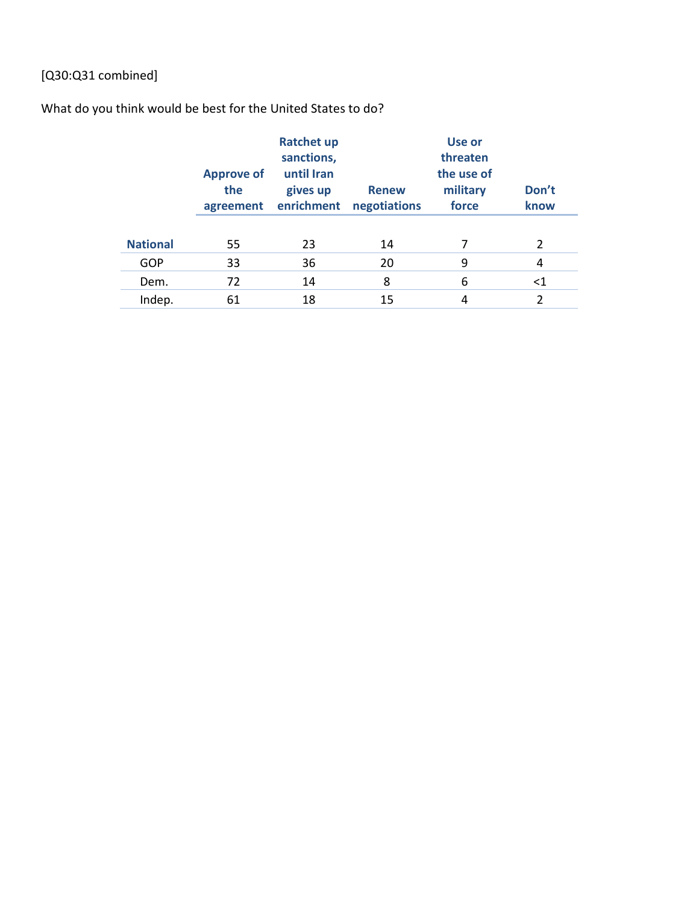# [Q30:Q31 combined]

# What do you think would be best for the United States to do?

|                 | <b>Approve of</b><br>the<br>agreement | <b>Ratchet up</b><br>sanctions,<br>until Iran<br>gives up<br>enrichment | <b>Renew</b><br>negotiations | <b>Use or</b><br>threaten<br>the use of<br>military<br>force | Don't<br>know  |
|-----------------|---------------------------------------|-------------------------------------------------------------------------|------------------------------|--------------------------------------------------------------|----------------|
| <b>National</b> | 55                                    | 23                                                                      | 14                           |                                                              | $\overline{2}$ |
| GOP             | 33                                    | 36                                                                      | 20                           | 9                                                            | 4              |
| Dem.            | 72                                    | 14                                                                      | 8                            | 6                                                            | ${<}1$         |
| Indep.          | 61                                    | 18                                                                      | 15                           | 4                                                            | $\mathfrak z$  |